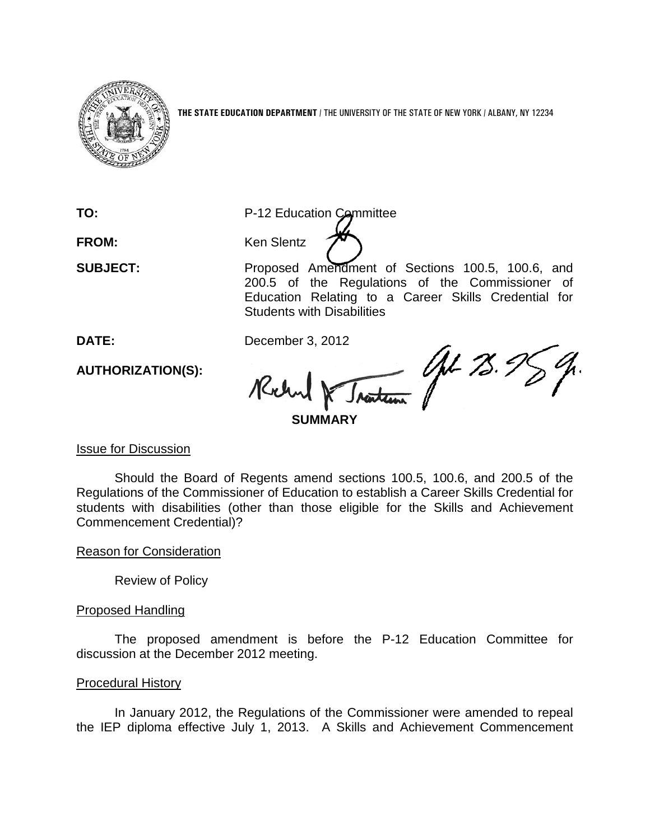

**THE STATE EDUCATION DEPARTMENT** / THE UNIVERSITY OF THE STATE OF NEW YORK / ALBANY, NY 12234

**TO:** P-12 Education Committee FROM: Ken Slentz

**SUBJECT:** Proposed Amendment of Sections 100.5, 100.6, and 200.5 of the Regulations of the Commissioner of Education Relating to a Career Skills Credential for Students with Disabilities

**DATE:** December 3, 2012

M & *Instantion (AL 73.95)* Ruh.

**AUTHORIZATION(S):**

Issue for Discussion

Should the Board of Regents amend sections 100.5, 100.6, and 200.5 of the Regulations of the Commissioner of Education to establish a Career Skills Credential for students with disabilities (other than those eligible for the Skills and Achievement Commencement Credential)?

Reason for Consideration

Review of Policy

## Proposed Handling

The proposed amendment is before the P-12 Education Committee for discussion at the December 2012 meeting.

## Procedural History

In January 2012, the Regulations of the Commissioner were amended to repeal the IEP diploma effective July 1, 2013. A Skills and Achievement Commencement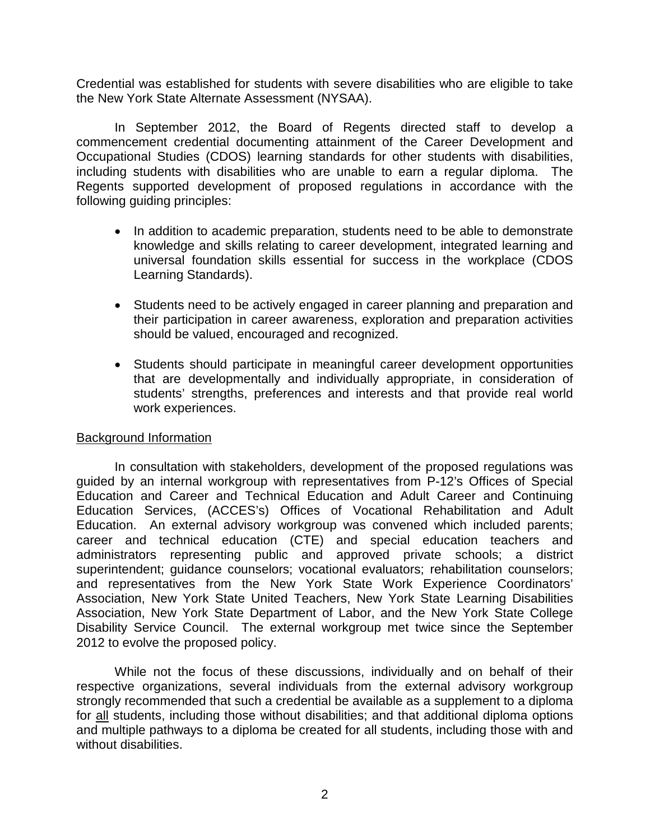Credential was established for students with severe disabilities who are eligible to take the New York State Alternate Assessment (NYSAA).

In September 2012, the Board of Regents directed staff to develop a commencement credential documenting attainment of the Career Development and Occupational Studies (CDOS) learning standards for other students with disabilities, including students with disabilities who are unable to earn a regular diploma. The Regents supported development of proposed regulations in accordance with the following guiding principles:

- In addition to academic preparation, students need to be able to demonstrate knowledge and skills relating to career development, integrated learning and universal foundation skills essential for success in the workplace (CDOS Learning Standards).
- Students need to be actively engaged in career planning and preparation and their participation in career awareness, exploration and preparation activities should be valued, encouraged and recognized.
- Students should participate in meaningful career development opportunities that are developmentally and individually appropriate, in consideration of students' strengths, preferences and interests and that provide real world work experiences.

#### Background Information

In consultation with stakeholders, development of the proposed regulations was guided by an internal workgroup with representatives from P-12's Offices of Special Education and Career and Technical Education and Adult Career and Continuing Education Services, (ACCES's) Offices of Vocational Rehabilitation and Adult Education. An external advisory workgroup was convened which included parents; career and technical education (CTE) and special education teachers and administrators representing public and approved private schools; a district superintendent; guidance counselors; vocational evaluators; rehabilitation counselors; and representatives from the New York State Work Experience Coordinators' Association, New York State United Teachers, New York State Learning Disabilities Association, New York State Department of Labor, and the New York State College Disability Service Council. The external workgroup met twice since the September 2012 to evolve the proposed policy.

While not the focus of these discussions, individually and on behalf of their respective organizations, several individuals from the external advisory workgroup strongly recommended that such a credential be available as a supplement to a diploma for all students, including those without disabilities; and that additional diploma options and multiple pathways to a diploma be created for all students, including those with and without disabilities.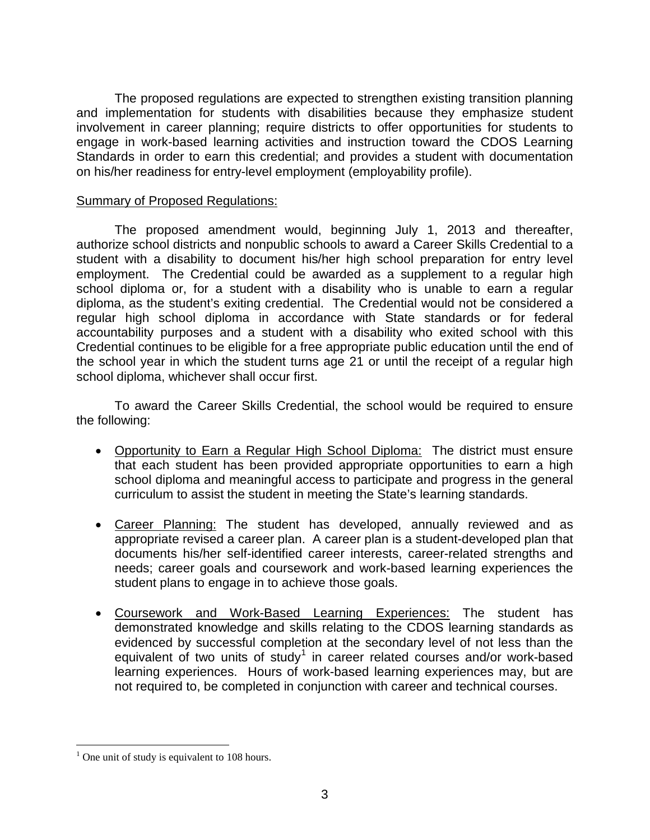The proposed regulations are expected to strengthen existing transition planning and implementation for students with disabilities because they emphasize student involvement in career planning; require districts to offer opportunities for students to engage in work-based learning activities and instruction toward the CDOS Learning Standards in order to earn this credential; and provides a student with documentation on his/her readiness for entry-level employment (employability profile).

### Summary of Proposed Regulations:

The proposed amendment would, beginning July 1, 2013 and thereafter, authorize school districts and nonpublic schools to award a Career Skills Credential to a student with a disability to document his/her high school preparation for entry level employment. The Credential could be awarded as a supplement to a regular high school diploma or, for a student with a disability who is unable to earn a regular diploma, as the student's exiting credential. The Credential would not be considered a regular high school diploma in accordance with State standards or for federal accountability purposes and a student with a disability who exited school with this Credential continues to be eligible for a free appropriate public education until the end of the school year in which the student turns age 21 or until the receipt of a regular high school diploma, whichever shall occur first.

To award the Career Skills Credential, the school would be required to ensure the following:

- Opportunity to Earn a Regular High School Diploma: The district must ensure that each student has been provided appropriate opportunities to earn a high school diploma and meaningful access to participate and progress in the general curriculum to assist the student in meeting the State's learning standards.
- Career Planning: The student has developed, annually reviewed and as appropriate revised a career plan. A career plan is a student-developed plan that documents his/her self-identified career interests, career-related strengths and needs; career goals and coursework and work-based learning experiences the student plans to engage in to achieve those goals.
- Coursework and Work-Based Learning Experiences: The student has demonstrated knowledge and skills relating to the CDOS learning standards as evidenced by successful completion at the secondary level of not less than the equivalent of two units of study<sup>[1](#page-2-0)</sup> in career related courses and/or work-based learning experiences. Hours of work-based learning experiences may, but are not required to, be completed in conjunction with career and technical courses.

<span id="page-2-0"></span><sup>&</sup>lt;sup>1</sup> One unit of study is equivalent to 108 hours.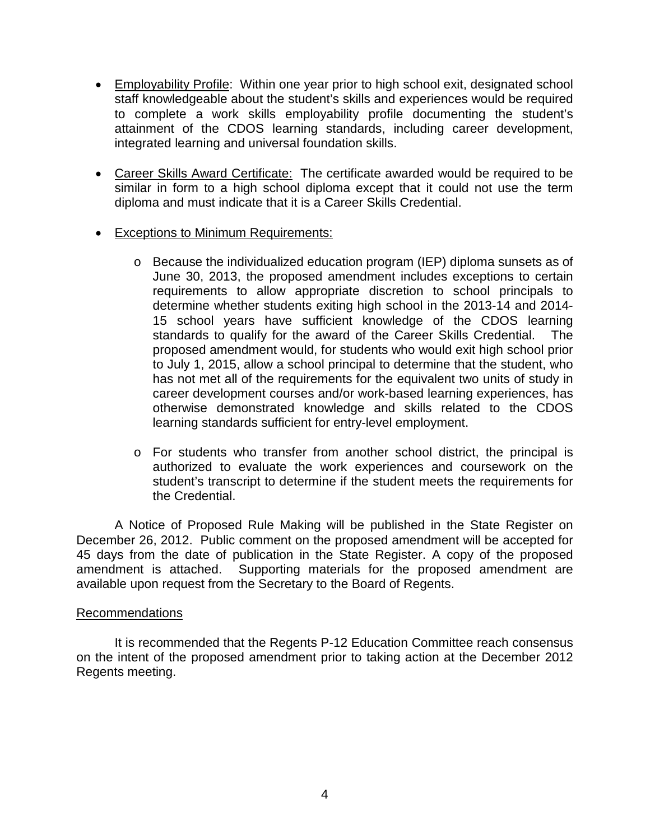- Employability Profile: Within one year prior to high school exit, designated school staff knowledgeable about the student's skills and experiences would be required to complete a work skills employability profile documenting the student's attainment of the CDOS learning standards, including career development, integrated learning and universal foundation skills.
- Career Skills Award Certificate: The certificate awarded would be required to be similar in form to a high school diploma except that it could not use the term diploma and must indicate that it is a Career Skills Credential.
- Exceptions to Minimum Requirements:
	- o Because the individualized education program (IEP) diploma sunsets as of June 30, 2013, the proposed amendment includes exceptions to certain requirements to allow appropriate discretion to school principals to determine whether students exiting high school in the 2013-14 and 2014- 15 school years have sufficient knowledge of the CDOS learning standards to qualify for the award of the Career Skills Credential. The proposed amendment would, for students who would exit high school prior to July 1, 2015, allow a school principal to determine that the student, who has not met all of the requirements for the equivalent two units of study in career development courses and/or work-based learning experiences, has otherwise demonstrated knowledge and skills related to the CDOS learning standards sufficient for entry-level employment.
	- o For students who transfer from another school district, the principal is authorized to evaluate the work experiences and coursework on the student's transcript to determine if the student meets the requirements for the Credential.

A Notice of Proposed Rule Making will be published in the State Register on December 26, 2012. Public comment on the proposed amendment will be accepted for 45 days from the date of publication in the State Register. A copy of the proposed amendment is attached. Supporting materials for the proposed amendment are available upon request from the Secretary to the Board of Regents.

#### Recommendations

It is recommended that the Regents P-12 Education Committee reach consensus on the intent of the proposed amendment prior to taking action at the December 2012 Regents meeting.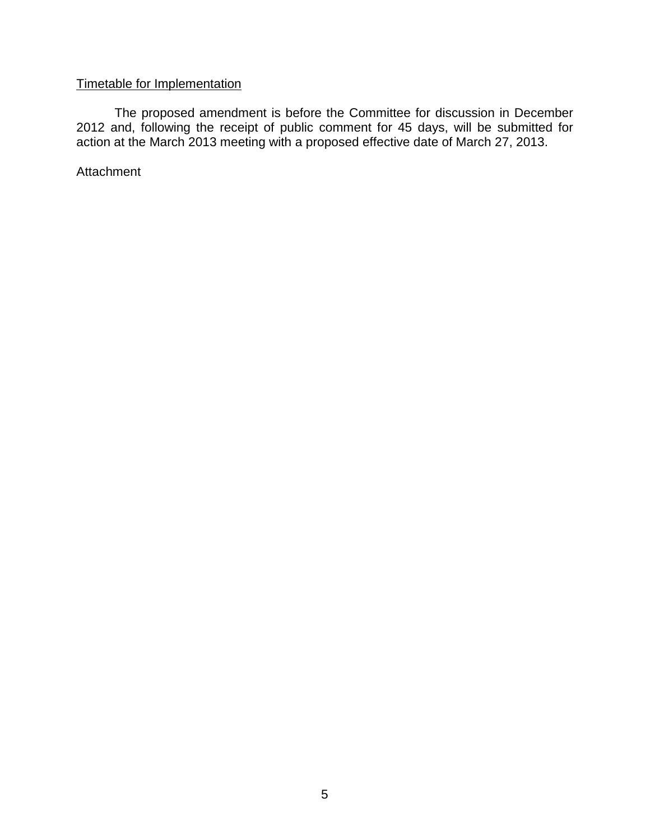# Timetable for Implementation

The proposed amendment is before the Committee for discussion in December 2012 and, following the receipt of public comment for 45 days, will be submitted for action at the March 2013 meeting with a proposed effective date of March 27, 2013.

**Attachment**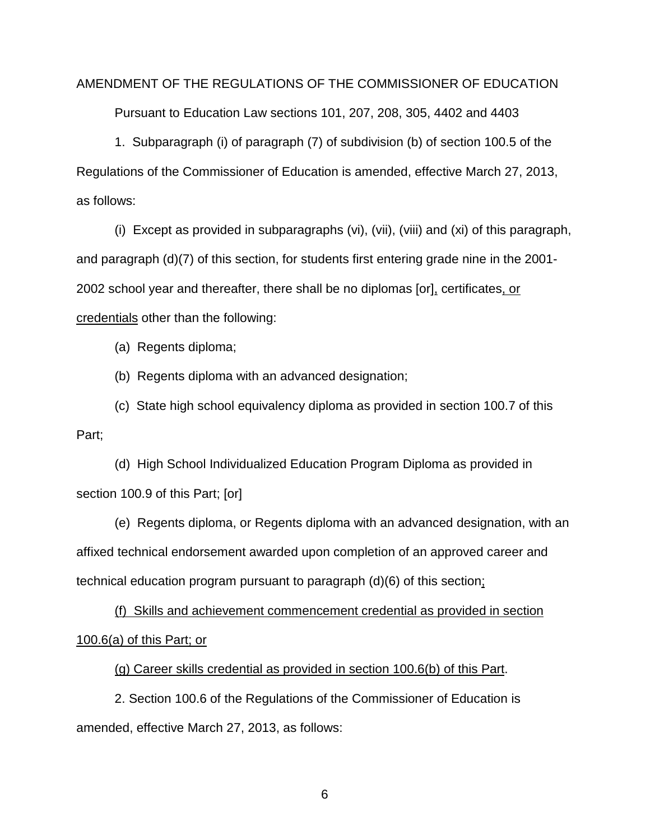#### AMENDMENT OF THE REGULATIONS OF THE COMMISSIONER OF EDUCATION

Pursuant to Education Law sections 101, 207, 208, 305, 4402 and 4403

1. Subparagraph (i) of paragraph (7) of subdivision (b) of section 100.5 of the Regulations of the Commissioner of Education is amended, effective March 27, 2013, as follows:

(i) Except as provided in subparagraphs (vi), (vii), (viii) and (xi) of this paragraph, and paragraph (d)(7) of this section, for students first entering grade nine in the 2001- 2002 school year and thereafter, there shall be no diplomas [or], certificates, or credentials other than the following:

(a) Regents diploma;

(b) Regents diploma with an advanced designation;

(c) State high school equivalency diploma as provided in section 100.7 of this Part;

(d) High School Individualized Education Program Diploma as provided in section 100.9 of this Part; [or]

(e) Regents diploma, or Regents diploma with an advanced designation, with an affixed technical endorsement awarded upon completion of an approved career and technical education program pursuant to paragraph (d)(6) of this section;

(f) Skills and achievement commencement credential as provided in section 100.6(a) of this Part; or

(g) Career skills credential as provided in section 100.6(b) of this Part.

2. Section 100.6 of the Regulations of the Commissioner of Education is amended, effective March 27, 2013, as follows: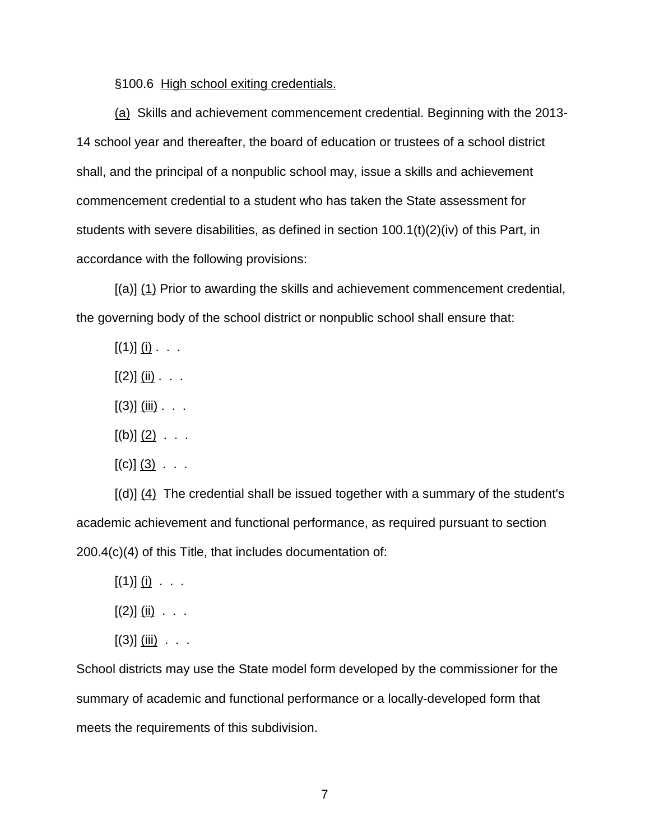§100.6 High school exiting credentials.

(a) Skills and achievement commencement credential. Beginning with the 2013- 14 school year and thereafter, the board of education or trustees of a school district shall, and the principal of a nonpublic school may, issue a skills and achievement commencement credential to a student who has taken the State assessment for students with severe disabilities, as defined in section 100.1(t)(2)(iv) of this Part, in accordance with the following provisions:

[(a)] (1) Prior to awarding the skills and achievement commencement credential, the governing body of the school district or nonpublic school shall ensure that:

 $[(1)]$   $(i)$  . . .

- $[(2)]$   $(i)$   $\ldots$
- $[(3)]$   $(iii)$  . . .
- $[(b)]$   $(2)$  . . .
- $[(c)]$   $(3)$   $\ldots$

 $[(d)] (4)$  The credential shall be issued together with a summary of the student's academic achievement and functional performance, as required pursuant to section 200.4(c)(4) of this Title, that includes documentation of:

- $[(1)]$   $(i)$  . . .
- $[(2)]$   $(i)$   $\ldots$
- $[(3)]$  (iii) . . .

School districts may use the State model form developed by the commissioner for the summary of academic and functional performance or a locally-developed form that meets the requirements of this subdivision.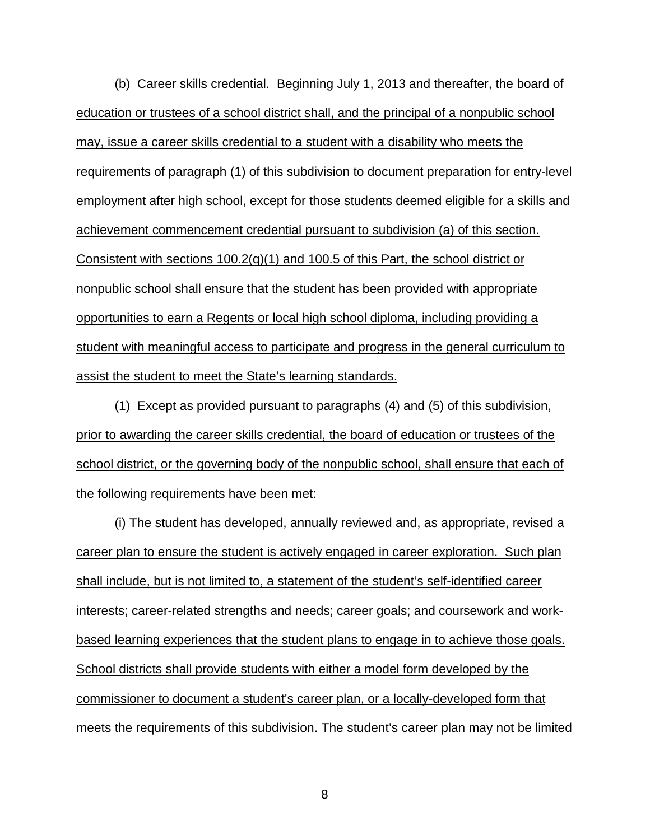(b) Career skills credential. Beginning July 1, 2013 and thereafter, the board of education or trustees of a school district shall, and the principal of a nonpublic school may, issue a career skills credential to a student with a disability who meets the requirements of paragraph (1) of this subdivision to document preparation for entry-level employment after high school, except for those students deemed eligible for a skills and achievement commencement credential pursuant to subdivision (a) of this section. Consistent with sections  $100.2(q)(1)$  and  $100.5$  of this Part, the school district or nonpublic school shall ensure that the student has been provided with appropriate opportunities to earn a Regents or local high school diploma, including providing a student with meaningful access to participate and progress in the general curriculum to assist the student to meet the State's learning standards.

(1) Except as provided pursuant to paragraphs (4) and (5) of this subdivision, prior to awarding the career skills credential, the board of education or trustees of the school district, or the governing body of the nonpublic school, shall ensure that each of the following requirements have been met:

(i) The student has developed, annually reviewed and, as appropriate, revised a career plan to ensure the student is actively engaged in career exploration. Such plan shall include, but is not limited to, a statement of the student's self-identified career interests; career-related strengths and needs; career goals; and coursework and workbased learning experiences that the student plans to engage in to achieve those goals. School districts shall provide students with either a model form developed by the commissioner to document a student's career plan, or a locally-developed form that meets the requirements of this subdivision. The student's career plan may not be limited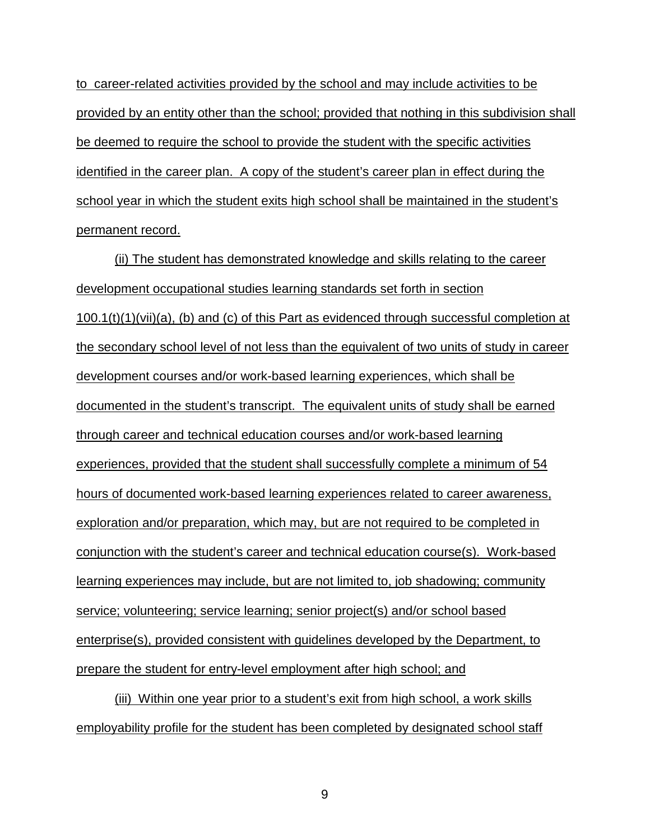to career-related activities provided by the school and may include activities to be provided by an entity other than the school; provided that nothing in this subdivision shall be deemed to require the school to provide the student with the specific activities identified in the career plan. A copy of the student's career plan in effect during the school year in which the student exits high school shall be maintained in the student's permanent record.

(ii) The student has demonstrated knowledge and skills relating to the career development occupational studies learning standards set forth in section  $100.1(t)(1)(vii)(a)$ , (b) and (c) of this Part as evidenced through successful completion at the secondary school level of not less than the equivalent of two units of study in career development courses and/or work-based learning experiences, which shall be documented in the student's transcript. The equivalent units of study shall be earned through career and technical education courses and/or work-based learning experiences, provided that the student shall successfully complete a minimum of 54 hours of documented work-based learning experiences related to career awareness, exploration and/or preparation, which may, but are not required to be completed in conjunction with the student's career and technical education course(s). Work-based learning experiences may include, but are not limited to, job shadowing; community service; volunteering; service learning; senior project(s) and/or school based enterprise(s), provided consistent with guidelines developed by the Department, to prepare the student for entry-level employment after high school; and

(iii) Within one year prior to a student's exit from high school, a work skills employability profile for the student has been completed by designated school staff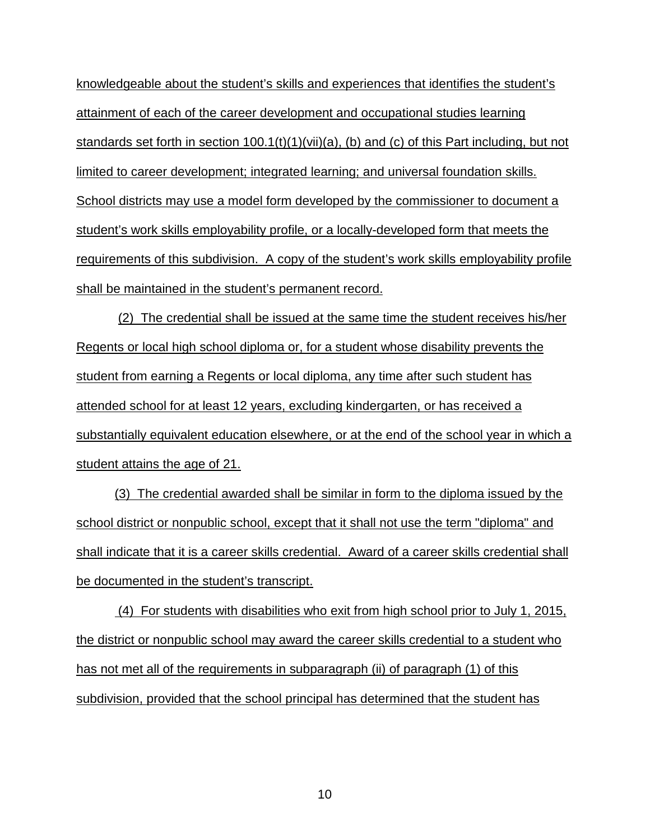knowledgeable about the student's skills and experiences that identifies the student's attainment of each of the career development and occupational studies learning standards set forth in section  $100.1(t)(1)(vi)(a)$ , (b) and (c) of this Part including, but not limited to career development; integrated learning; and universal foundation skills. School districts may use a model form developed by the commissioner to document a student's work skills employability profile, or a locally-developed form that meets the requirements of this subdivision. A copy of the student's work skills employability profile shall be maintained in the student's permanent record.

(2) The credential shall be issued at the same time the student receives his/her Regents or local high school diploma or, for a student whose disability prevents the student from earning a Regents or local diploma, any time after such student has attended school for at least 12 years, excluding kindergarten, or has received a substantially equivalent education elsewhere, or at the end of the school year in which a student attains the age of 21.

(3) The credential awarded shall be similar in form to the diploma issued by the school district or nonpublic school, except that it shall not use the term "diploma" and shall indicate that it is a career skills credential. Award of a career skills credential shall be documented in the student's transcript.

(4) For students with disabilities who exit from high school prior to July 1, 2015, the district or nonpublic school may award the career skills credential to a student who has not met all of the requirements in subparagraph (ii) of paragraph (1) of this subdivision, provided that the school principal has determined that the student has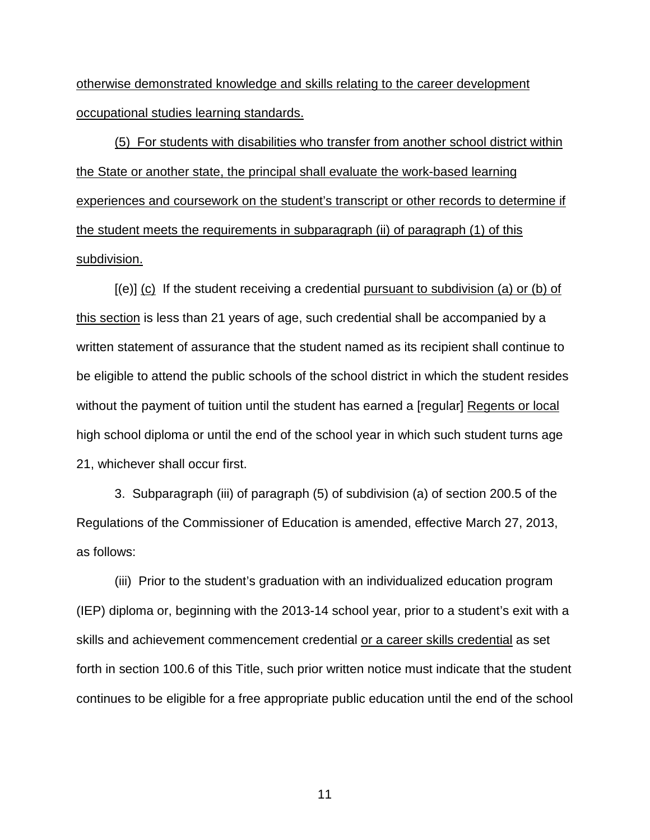otherwise demonstrated knowledge and skills relating to the career development occupational studies learning standards.

(5) For students with disabilities who transfer from another school district within the State or another state, the principal shall evaluate the work-based learning experiences and coursework on the student's transcript or other records to determine if the student meets the requirements in subparagraph (ii) of paragraph (1) of this subdivision.

 $[(e)]$  (c) If the student receiving a credential pursuant to subdivision (a) or (b) of this section is less than 21 years of age, such credential shall be accompanied by a written statement of assurance that the student named as its recipient shall continue to be eligible to attend the public schools of the school district in which the student resides without the payment of tuition until the student has earned a [regular] Regents or local high school diploma or until the end of the school year in which such student turns age 21, whichever shall occur first.

3. Subparagraph (iii) of paragraph (5) of subdivision (a) of section 200.5 of the Regulations of the Commissioner of Education is amended, effective March 27, 2013, as follows:

(iii) Prior to the student's graduation with an individualized education program (IEP) diploma or, beginning with the 2013-14 school year, prior to a student's exit with a skills and achievement commencement credential or a career skills credential as set forth in section 100.6 of this Title, such prior written notice must indicate that the student continues to be eligible for a free appropriate public education until the end of the school